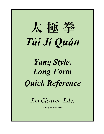

*Yang Style, Long Form Quick Reference*

*Jim Cleaver LAc.*

*Muddy Bottom Press*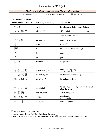## *Introduction to Tài Jí Quán*

| <b>Tai Ji Form in Chinese Characters and Pin-yin – First Section</b> |  |  |
|----------------------------------------------------------------------|--|--|
|                                                                      |  |  |

太 = tài/very/great 極 = jí/pinnacle/pole 拳 = quán/fist

*1st Section Characters:*

| <b>Traditional Characters</b> | $\overline{\text{Pin}-\text{Y}}\overline{\text{In}}$ (with tone marks) | <b>Translation</b>                                          |
|-------------------------------|------------------------------------------------------------------------|-------------------------------------------------------------|
| 無 極<br>wú jí                  |                                                                        | formlessness: before space & time                           |
| 太極起勢                          | tài jí, qǐ shì                                                         | differentiation: the great beginning                        |
|                               |                                                                        | scholar points the way                                      |
| 攬雀尾                           | lăn què wěi                                                            | grasp sparrow's tail                                        |
| 掤                             | péng                                                                   | ward off                                                    |
| 搙                             | $l\tilde{u}$                                                           | roll back (lit. hands travelling)                           |
| 擠                             | jĭ                                                                     | press                                                       |
| 按                             | àn                                                                     | push                                                        |
| 單鞭                            | dān biān                                                               | single whip                                                 |
|                               |                                                                        |                                                             |
| 提手上勢                          | tí shǒu, shàng shì                                                     | raise hands, up step<br>(clap tree, bump door)              |
| 鶴 亮 翅                         | bái hè liàng chì                                                       | white crane spread wings                                    |
| 樓膝拗步                          | lŏu xī, ăo bù                                                          | brush knee, twist step                                      |
|                               |                                                                        |                                                             |
| 手揮琵琶                          | shou huī pí-pá                                                         | hands play / handplay/brandish the/a lute<br>play the pi-pa |
| 搬 攔 捶                         | bān, lán, chuí                                                         | strike, parry, punch                                        |
| 如 封 似 閉                       | rú fēng, sì bì                                                         | as if to seal,<br>appear to close                           |
| 十字手                           | shí zì, shǒu                                                           | cross the hands                                             |
|                               |                                                                        |                                                             |

\* I found the character for péng under bīng.

\* lǚ character is very obscure. I could not find it in any dictionary. I created it by placing a hand radical ‡ on left side of phonetic lǚ 履 shoes, step / Stepping Carefully (Hex. 10)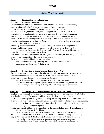### 無 極 **Wú-Jí in Detail**

### **Phase I Finding Neutral and Aligning**

- feet shoulder width apart and parallel
- knees unlocked, release the pelvis and allow low back to flatten (pelvis rolls under)
- spine erect (not stiff or held) all the way to occiput (sense of floating up)
- release occiput, feel suspended from sky (head loose, neck like a spring)
- face relaxed, eyes (open or) closed, but looking inward 'ears relaxed & open'
- jaw relaxed, but mouth is closed (lips touch, teeth apart) breathe through nose
- follow breath in, relax/open throat, allow more air to move through (soundlessly)
- chest soft, but not collapsed (little breath movement) belly full (more breath movement)
- breathe into abdomen, lower dan-tian & pelvis (allow pelvis to relax and open)
- open hip joints with mind & breath
- follow leg bones down to feet open joints (knees, ankles, feet) along the way
- check weight distribution (adjust wt. so it is equal ball to heel, knees over K-1)
- (wt. more to lateral edge, toes slightly grip the earth, lifting arch & opening Bubbling Spring)
- relax shoulders, let gravity take them down
- turn elbows out, back of the hands forward, (air in the armpits), breathe into your sides
- uncurl fingers so qi gets all the way to fingertips/nails
- focus attention on breathing into lower dan-tian
	- shift consciousness away from any particular sense of time or place experience *"no-thing-ness"* that is wu-ji

### **Phase II Connecting to Earth/Ground/Terra-firma (Yin)**

- from dan-tian send qi down to feet, breathe out through your soles (K-1, Bubbling Spring)
- imagine growing roots downward into the earth (deeper & broader with each breath)
- absorb earth energy through your roots (esp. on inhalations)
	- allow it push up through the bottoms of your feet (Bubbling Spring)

- let the earth energy fill your legs and lower torso (to umbilicus, lower dan-tian) (feel the strength, power, solidity, & stability of the earth energy in your legs/lower body)

### **Phase III Connecting to the Sky/Heavens/Cosmic Openness (Yang)**

- send qi upward through the center of your torso and out the top of your head (GV-20 Bai Hui)
- growing branches and/or leaves, reaching toward the light, feeling the breeze
- absorb the sky energy and bring it into your body, all the way down to your lower dan-tian
- allow it to fill your torso, then your arms, neck and head, finally spilling over and surrounding your entire body all the way to your feet, where it mingles with the Earth energy and the two begin to circulate together.
- All the movements of the Tai-Ji originate from this primordial interplay & circulation of Yin & Yang, Heaven & Earthly Qi.

(feel the relaxed airiness, lightness, & buoyancy of the celestial qi in your upper body)

- Wu-Ji aligns us with Heaven & Earth and facilitates the flow of qi throughout the body.
- Try to stay connected to both Heaven & Earth throughout the Tai-Ji form/sequence. (wu-ji teaches you how to stay connected  $\&$  centered, learn to recognize those feelings) (practice makes it easier & easier, you get there more quickly and assuredly, and go deeper)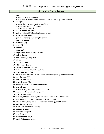## **Section I – Quick Reference**

| 1. | wu-ji                                                                                |
|----|--------------------------------------------------------------------------------------|
|    | a. press toe pads into earth 9x                                                      |
|    | b. connect to $&$ harmonize the 3 realms (Tian-Di-Ren / Sky-Earth-Human)             |
| 2. | tai-ji $(3x)$                                                                        |
|    | a. hands flip over, open wrists $& Lao-Gong$<br>b. hands level out, qi to fingertips |
|    | c. hands full – double size                                                          |
| 3. | scholar points the way                                                               |
| 4. | gather ball of $qi(R)$ (holding the moon/yue)                                        |
| 5. | grasp sparrow's tail                                                                 |
| 6. | gather ball of $qi(L)$ (holding the sun/ri)                                          |
| 7. | ward off (peng)                                                                      |
| 8. | roll back (lü)                                                                       |
| 9. | press (ji)                                                                           |
|    | 10. sit back                                                                         |
|    | 11. $push$ $(an)$                                                                    |
|    | 12. single whip $(dan-bian)$ (180 $\degree$ turn)                                    |
|    | 13. shift R then L                                                                   |
|    | 14. arms like wings 'clap tree'                                                      |
|    | 15. lift knee                                                                        |
|    | 16. bump door into                                                                   |
|    | 17. white crane (bai he)                                                             |
|    | 18. twist L, backhand slap 3x                                                        |
|    | 19. turn R to initiate Brush Knee Series                                             |
|    | 20. brush Left knee $(\#1)$                                                          |
|    | 21. balance then extend 100% on L then lay out horizontally and rock back to         |
|    | 22. play the pipa $(#1)$                                                             |
|    | 23. brush L knee $(\#2)$                                                             |
|    | 24. brush R knee $(\#1)$                                                             |
|    | 25. alternate brush L & R knees until done                                           |
|    | 26. brush L knee                                                                     |
|    | 27. extend $\&$ lengthen (hold – touch horizon)                                      |
|    | 28. step up, rock back to play pi-pa (#2)                                            |
|    | 29. brush L knee (final)                                                             |
|    | 30. shift weight back & turn slightly left (as if to start another R brush knee)     |
|    | 31. shift forward <i>into</i> <b>hoop</b> (big embrace) $\&$ <b>fist</b> (R hand)    |
|    | 32. release R foot, bring it thru and place heel twist step, double strike           |
|    | 33. step through & punch                                                             |
|    | 34. release fist like flower opening                                                 |
|    | 35. sit back & scrape                                                                |
|    | 36. twist back into push                                                             |
|    | 37. turn & close                                                                     |
|    | 38. crossed hands wu-ji                                                              |
|    | 39. check feet & arms (hold)                                                         |
|    |                                                                                      |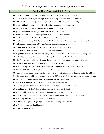# **Section II – Part 1 – Quick Reference**

| 40. shift wt. to R foot, turn L toes toward R heel, carry tiger back to mountain (NW)                                                 |  |  |  |
|---------------------------------------------------------------------------------------------------------------------------------------|--|--|--|
| 41. (R foot empty, check heel line) shift weight to R foot $\&$ swing R hand across to L shoulder                                     |  |  |  |
| 42. sit back full arm scrape (push $\&$ pull), transition into roll back (SW then back to NW)                                         |  |  |  |
| 43. $press - sit back - push$<br>• sit back again (leave hands NW, touch the water's surface)                                         |  |  |  |
| 44. turn left, petals floating/drifting on water/pond (pivot R toes to S)                                                             |  |  |  |
| 45. great bird extends her wings, L foot steps out (pivot toes E as shift wt.)                                                        |  |  |  |
| 46. bring R foot thru to SE, L foot steps out E (foot flat, no wt.) – fist under elbow                                                |  |  |  |
| 47. raise L knee, roll hip and place L toes behind R heel at 7 o'clock, L heel comes down on R heel line at 6 o'clock                 |  |  |  |
| <b>48.</b> raise R knee toward elbow, roll hip & place toes at 5 o'clock, pivot front toes to 12 o'clock = <b>repulse monkey 5-9x</b> |  |  |  |
| 49. on last monkey, gaze sweeps N, arms float up (shoulder level, palms down, E-W line)                                               |  |  |  |
| <b>50. R foot sweeps S</b> (to 5 o'clock position, SW), shift wt. to R $\&$ pivot L toes to SE                                        |  |  |  |
| <b>51.</b> shift back to L foot, gather ball of qi, L foot steps out straight S                                                       |  |  |  |
| 52. diagonal sweep into lift-off & take flight (lift R hand & L foot) (hand points SW, toes NE) hold, then tap L toes                 |  |  |  |
| 53. on final bounce L toes touch ground $\&$ adhere, slide back into clap the tree stance                                             |  |  |  |
| 54. raise R knee, step out sideways & bump door, hold eyes wide stare, transition into white crane                                    |  |  |  |
| 55. twist left, turn right backhand slap & proceed to brush L knee                                                                    |  |  |  |
| 56. extend, step up, rock back into R leg, elbow sinks, dragging R hand back toward shoulder                                          |  |  |  |
| 57. over the waterfall (keep looking E until torso is parallel to earth, then look down and straighten neck)                          |  |  |  |
| 58. reach down til R arm is straight needle at sea bottom • rotate R arm from shoulder to stir the caldron                            |  |  |  |
| 59. raise torso, step out with L foot, frame the treetops, shift wt. $\&$ whole body press to corner (arms like fan)                  |  |  |  |
| 60. turn $R$ – hands follow rainbow (arc across sky) (low arc - winter solstice)                                                      |  |  |  |
| 61. shift back, R arm floats across $\&$ slowly forms a fist (in front of chest)                                                      |  |  |  |
| 62. R foot steps out, L hand circles thru into sword thrust (R hand in fist to R hip helps twist waist)                               |  |  |  |
| 63. uncoil into hoop $\&$ fist (grind as R foot steps out $\&$ pivots into twist step                                                 |  |  |  |
| <b>64.</b> step thru with L foot (place the heel under L hand) shift wt., turn waist $\&$ punch                                       |  |  |  |
| 65. shift wt. back to R leg, hands drift/float R to $NW -$ watch hands transition, L toes turn out                                    |  |  |  |
| 66. R foot steps thru while R arm floats up into ward off                                                                             |  |  |  |
|                                                                                                                                       |  |  |  |
| 67. roll back, press; sit back, push; sit back, turn L into single whip/danbian                                                       |  |  |  |
| 68. drift into yun-shou/cloud hands-1                                                                                                 |  |  |  |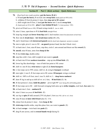### 太 極 拳 *Tài Jí Sequence – Second Section: Quick Reference*

### **Section II – Part 2 (Kick section)** – **Quick Reference**

- **70.** *float back into ready position* **pat the horse, R & L** a. R hand **pat the horse,** R toe kick into **sweep kick** (hands push out NW & SE) b. withdraw R foot & protect L knee, then **step out to SE corner** c. shift weight into R foot, L hand **pat the horse** into L toe & **sweep kick**, d. (hands push out NE & SW) **place L toes behind R heel** (7 o'clock position / NW) **71.** pivot on R heel (toes to NW), R hand swings inside L (no wt. shift) **72.** raise L knee, open knee to W & **heel kick** (straight West) **73.** keep leg straight and **lower from hip** until L heel touches (check foot placement on heel line) **74.** flow into **L brush knee – low brush knee series** (R-L-R), **75.** end L brush knee with **downward punch** (hold & check back alignment: sacrum to occiput) **76.** turn to right, pivot L toes to NE – **on guard** (protect head, but don't block view) **77.** sit back into L foot, raise R knee, step thru, circle L arm around and thrust out like **sword** (E) **78. uncoil**, raise R knee, arms form **hoop & fist 79.** R foot **twist step**, double-strike **80.** step thru with L foot, shift weight & turn waist to **punch 81.** sit back into R foot *sunburst transition* – step up into **R heel kick** (E) **82.** lower leg like drawbridge – toes of both feet point to NE corner **83.** shift wt. into R foot, **twist torso** to right (E) & **form bearpaws 84.** L foot steps out to NW corner, shift wt. & swing **L bearpaw** overhead **85.** turn right, L toes E, R foot steps out to SE corner, **R bearpaw** swings overhead **86.** shift wt. 100% to R foot, turn L toes N; shift wt. L – **deep horse sunburst 87.** draw R leg in and up as shift all wt. to L foot, – **R heel kick** (E) **1x 88.** R foot protects L knee, **hold the platter** – pivot right 90° (now facing SE) still holding platter **89.** R foot steps out to SE – shift forward swinging both arms up to **strike temples,** rock back, **box ears** (3x) **90.** sit back into L foot – **sunburst R 91.** raise L knee (use psoas) & **heel kick** (E) **92.** use leg to **spin** (R ball) around (270°) & plant L foot (toes NE) (all wt. in L foot) **93.** raise R knee & **kick with R heel** (also E) 3-5x **94.** retract foot & protect L knee – form **hoop & fist 95. twist-step**-double-strike, step thru place foot, use waist to **punch** (E)
	- **96.** sit back **scrape –** twist back into **push** (E)
	- **97.** drag R arm across, end in **crossed hands wu-ji** (facing S)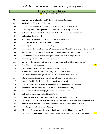## **Section III – Quick Reference**

*\*\* repeat of second section material*

| 98.  | tiger returns to mt., sit back push/pull, roll back, press; sit back, push                                |
|------|-----------------------------------------------------------------------------------------------------------|
| 99.  | single whip-1 (diagonal to SE corner)                                                                     |
| 100. | turn right, step out into <b>wild horse</b> flipping mane $(5x R-L-R-L-R)$ or any odd #)                  |
| 101. | L foot steps out – grasp sparrow's tail (hold/focus on Lao-Gong – 2 into 1)                               |
| 102. | gather on $L \&$ step out with R foot into ward off, roll back, press; sit back, push                     |
| 103. | sit back into single whip-2                                                                               |
| 104. | yu nü/jade lady-1 (slow $&$ hold corners) (4 corners: SW-SE-NE-NW)                                        |
| 105. | long sparrow 1 (hold/focus on Yong-Quan $-2$ into 1)                                                      |
| 106. | <b>jade lady-2</b> (faster, with more writhing/twisting)                                                  |
| 107. | <b>long sparrow 2</b> – 4 into 1 (Laogong & Yongquan, then add Qihai/LDT – qi in & out to fingers & toes) |
| 108. | gather, step out into ward off, press, push & single whip-3 (peng-lü ji--an $\rightarrow$ danbian)        |
| 109. | yun shou/cloud hands-2 (watch palms, pass qi hand to hand) back to single whip-4                          |
| 110. | snake creeps down-1, slither down $&$ slide up into                                                       |
| 111. | <b>golden rooster</b> standing on L leg, then on R leg (stand tall & hold knee high, point toes)          |
| 112. | L toe kick into full leg monkey's<br>$**1$                                                                |
| 113. | gaze sweeps N, arms float up parallel to earth $\&$ point E $\&$ W                                        |
| 114. | R foot sweeps (to 5 o'clock/SW), shift weight R & L, step to south,                                       |
| 115. | lift off into <b>diagonal flying form</b> (hold $\&$ relax low back, then 5 bounces)                      |
| 116. | adhere then slide back to clap tree, lift knee, bump door into white crane                                |
| 117. | twist left (backhand strike), turn right, brush L knee, extend                                            |
| 118. | float back high, over the waterfall into <b>needle at sea bottom(2)</b> (touch the earth / frog)          |
| 119. | stir the caldron, lift torso, step out $\&$ press to corner (arms like fan)                               |
| 120. | turning right rainbow hands (high overhead arc (summer solstice),                                         |
| 121. | shift back to L and watch R hand float in (no fist)                                                       |
| 122. | R foot steps out, L hand sword (R hand dagger), uncoil into hoop & fist                                   |
| 123. | fist into palm grind & twist step double strike, shift weight to L foot, turn waist and punch West        |
| 124. | sit back $&$ turn R watch hands transition (hands float to NW then down, then up as                       |
| 125. | R foot steps through into ward off (peng-)                                                                |
| 126. | (lü-ji-an) roll back-press; sit back-push; sit back into dan-bian/single whip-5                           |
| 127. | $***$ 1<br>transition into cloud hands-3 (tiger leaping: land $\&$ balance on L), back to single whip-6   |